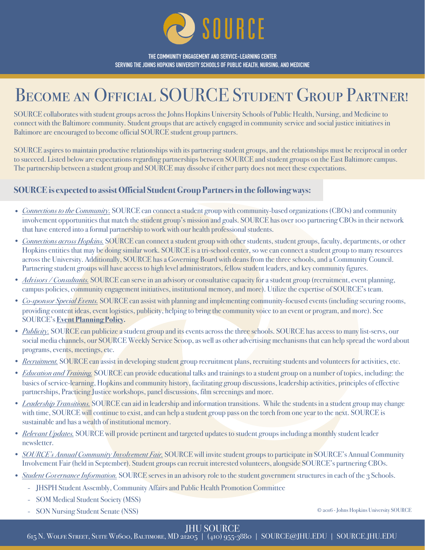

**THE COMMUNITY ENGAGEMENT AND SERVICE-LEARNING CENTER SERVING THE JOHNS HOPKINS UNIVERSITY SCHOOLS OF PUBLIC HEALTH, NURSING, AND MEDICINE**

## BECOME AN OFFICIAL SOURCE STUDENT GROUP PARTNER!

SOURCE collaborates with student groups across the Johns Hopkins University Schools of Public Health, Nursing, and Medicine to connect with the Baltimore community. Student groups that are actively engaged in community service and social justice initiatives in Baltimore are encouraged to become official SOURCE student group partners.

SOURCE aspires to maintain productive relationships with its partnering student groups, and the relationships must be reciprocal in order to succeed. Listed below are expectations regarding partnerships between SOURCE and student groups on the East Baltimore campus. The partnership between a student group and SOURCE may dissolve if either party does not meet these expectations.

## **SOURCE is expected to assist Official Student Group Partners in the following ways:**

- *Connections to the Community*. SOURCE can connect a student group with community-based organizations (CBOs) and community involvement opportunities that match the student group's mission and goals. SOURCE has over 100 partnering CBOs in their network that have entered into a formal partnership to work with our health professional students.
- *Connections across Hopkins.* SOURCE can connect a student group with other students, student groups, faculty, departments, or other Hopkins entities that may be doing similar work. SOURCE is a tri-school center, so we can connect a student group to many resources across the University. Additionally, SOURCE has a Governing Board with deans from the three schools, and a Community Council. Partnering student groups will have access to high level administrators, fellow student leaders, and key community figures.
- *Advisors / Consultants*. SOURCE can serve in an advisory or consultative capacity for a student group (recruitment, event planning, campus policies, community engagement initiatives, institutional memory, and more). Utilize the expertise of SOURCE's team.
- *Co-sponsor Special Events.* SOURCE can assist with planning and implementing community-focused events (including securing rooms, providing content ideas, event logistics, publicity, helping to bring the community voice to an event or program, and more). See SOURCE's **[Event Planning Policy](https://source.jhu.edu/policies-and-procedures/Event-Planning-Policy.pdf).**
- *Publicity*. SOURCE can publicize a student group and its events across the three schools. SOURCE has access to many list-servs, our social media channels, our SOURCE Weekly Service Scoop, as well as other advertising mechanisms that can help spread the word about programs, events, meetings, etc.
- *Recruitment*. SOURCE can assist in developing student group recruitment plans, recruiting students and volunteers for activities, etc.
- *Education and Training.* SOURCE can provide educational talks and trainings to a student group on a number of topics, including: the basics of service-learning, Hopkins and community history, facilitating group discussions, leadership activities, principles of effective partnerships, Practicing Justice workshops, panel discussions, film screenings and more.
- *Leadership Transitions.* SOURCE can aid in leadership and information transitions. While the students in a student group may change with time, SOURCE will continue to exist, and can help a student group pass on the torch from one year to the next. SOURCE is sustainable and has a wealth of institutional memory.
- *Relevant Updates.* SOURCE will provide pertinent and targeted updates to student groups including a monthly student leader newsletter.
- *SOURCE's Annual Community Involvement Fair.* SOURCE will invite student groups to participate in SOURCE's Annual Community Involvement Fair (held in September). Student groups can recruit interested volunteers, alongside SOURCE's partnering CBOs.
- *Student Governance Information.* SOURCE serves in an advisory role to the student government structures in each of the 3 Schools.
	- JHSPH Student Assembly, Community Affairs and Public Health Promotion Committee
	- SOM Medical Student Society (MSS)
	- SON Nursing Student Senate (NSS)

© 2016 - Johns Hopkins University SOURCE

JHU SOURCE